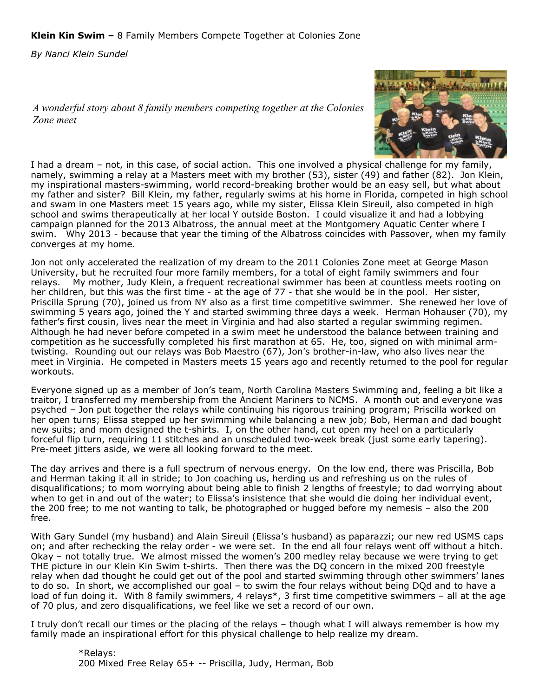*By Nanci Klein Sundel*

*A wonderful story about 8 family members competing together at the Colonies Zone meet*



I had a dream – not, in this case, of social action. This one involved a physical challenge for my family, namely, swimming a relay at a Masters meet with my brother (53), sister (49) and father (82). Jon Klein, my inspirational masters-swimming, world record-breaking brother would be an easy sell, but what about my father and sister? Bill Klein, my father, regularly swims at his home in Florida, competed in high school and swam in one Masters meet 15 years ago, while my sister, Elissa Klein Sireuil, also competed in high school and swims therapeutically at her local Y outside Boston. I could visualize it and had a lobbying campaign planned for the 2013 Albatross, the annual meet at the Montgomery Aquatic Center where I swim. Why 2013 - because that year the timing of the Albatross coincides with Passover, when my family converges at my home.

Jon not only accelerated the realization of my dream to the 2011 Colonies Zone meet at George Mason University, but he recruited four more family members, for a total of eight family swimmers and four relays. My mother, Judy Klein, a frequent recreational swimmer has been at countless meets rooting on her children, but this was the first time - at the age of 77 - that she would be in the pool. Her sister, Priscilla Sprung (70), joined us from NY also as a first time competitive swimmer. She renewed her love of swimming 5 years ago, joined the Y and started swimming three days a week. Herman Hohauser (70), my father's first cousin, lives near the meet in Virginia and had also started a regular swimming regimen. Although he had never before competed in a swim meet he understood the balance between training and competition as he successfully completed his first marathon at 65. He, too, signed on with minimal armtwisting. Rounding out our relays was Bob Maestro (67), Jon's brother-in-law, who also lives near the meet in Virginia. He competed in Masters meets 15 years ago and recently returned to the pool for regular workouts.

Everyone signed up as a member of Jon's team, North Carolina Masters Swimming and, feeling a bit like a traitor, I transferred my membership from the Ancient Mariners to NCMS. A month out and everyone was psyched – Jon put together the relays while continuing his rigorous training program; Priscilla worked on her open turns; Elissa stepped up her swimming while balancing a new job; Bob, Herman and dad bought new suits; and mom designed the t-shirts. I, on the other hand, cut open my heel on a particularly forceful flip turn, requiring 11 stitches and an unscheduled two-week break (just some early tapering). Pre-meet jitters aside, we were all looking forward to the meet.

The day arrives and there is a full spectrum of nervous energy. On the low end, there was Priscilla, Bob and Herman taking it all in stride; to Jon coaching us, herding us and refreshing us on the rules of disqualifications; to mom worrying about being able to finish 2 lengths of freestyle; to dad worrying about when to get in and out of the water; to Elissa's insistence that she would die doing her individual event, the 200 free; to me not wanting to talk, be photographed or hugged before my nemesis – also the 200 free.

With Gary Sundel (my husband) and Alain Sireuil (Elissa's husband) as paparazzi; our new red USMS caps on; and after rechecking the relay order - we were set. In the end all four relays went off without a hitch. Okay – not totally true. We almost missed the women's 200 medley relay because we were trying to get THE picture in our Klein Kin Swim t-shirts. Then there was the DQ concern in the mixed 200 freestyle relay when dad thought he could get out of the pool and started swimming through other swimmers' lanes to do so. In short, we accomplished our goal – to swim the four relays without being DQd and to have a load of fun doing it. With 8 family swimmers, 4 relays\*, 3 first time competitive swimmers – all at the age of 70 plus, and zero disqualifications, we feel like we set a record of our own.

I truly don't recall our times or the placing of the relays – though what I will always remember is how my family made an inspirational effort for this physical challenge to help realize my dream.